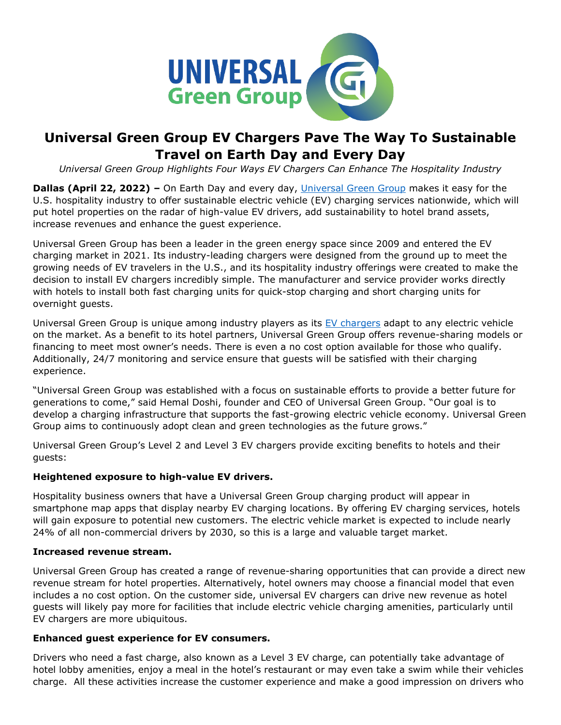

# **Universal Green Group EV Chargers Pave The Way To Sustainable Travel on Earth Day and Every Day**

*Universal Green Group Highlights Four Ways EV Chargers Can Enhance The Hospitality Industry*

**Dallas (April 22, 2022) –** On Earth Day and every day, [Universal Green Group](https://www.universalgreengroup.com/about-us/?utm_source=universal+green+group+earth+day+release&utm_medium=press+release&utm_campaign=earth+day+&utm_content=universal+green+group+hyperlink+1) makes it easy for the U.S. hospitality industry to offer sustainable electric vehicle (EV) charging services nationwide, which will put hotel properties on the radar of high-value EV drivers, add sustainability to hotel brand assets, increase revenues and enhance the guest experience.

Universal Green Group has been a leader in the green energy space since 2009 and entered the EV charging market in 2021. Its industry-leading chargers were designed from the ground up to meet the growing needs of EV travelers in the U.S., and its hospitality industry offerings were created to make the decision to install EV chargers incredibly simple. The manufacturer and service provider works directly with hotels to install both fast charging units for quick-stop charging and short charging units for overnight guests.

Universal Green Group is unique among industry players as its [EV chargers](https://www.universalevcharging.com/about-us/?utm_source=universal+green+group+earth+day+release&utm_medium=press+release&utm_campaign=earth+day+&utm_content=ev+charger+hyperlink+1) adapt to any electric vehicle on the market. As a benefit to its hotel partners, Universal Green Group offers revenue-sharing models or financing to meet most owner's needs. There is even a no cost option available for those who qualify. Additionally, 24/7 monitoring and service ensure that guests will be satisfied with their charging experience.

"Universal Green Group was established with a focus on sustainable efforts to provide a better future for generations to come," said Hemal Doshi, founder and CEO of Universal Green Group. "Our goal is to develop a charging infrastructure that supports the fast-growing electric vehicle economy. Universal Green Group aims to continuously adopt clean and green technologies as the future grows."

Universal Green Group's Level 2 and Level 3 EV chargers provide exciting benefits to hotels and their guests:

# **Heightened exposure to high-value EV drivers.**

Hospitality business owners that have a Universal Green Group charging product will appear in smartphone map apps that display nearby EV charging locations. By offering EV charging services, hotels will gain exposure to potential new customers. The electric vehicle market is expected to include nearly 24% of all non-commercial drivers by 2030, so this is a large and valuable target market.

#### **Increased revenue stream.**

Universal Green Group has created a range of revenue-sharing opportunities that can provide a direct new revenue stream for hotel properties. Alternatively, hotel owners may choose a financial model that even includes a no cost option. On the customer side, universal EV chargers can drive new revenue as hotel guests will likely pay more for facilities that include electric vehicle charging amenities, particularly until EV chargers are more ubiquitous.

#### **Enhanced guest experience for EV consumers.**

Drivers who need a fast charge, also known as a Level 3 EV charge, can potentially take advantage of hotel lobby amenities, enjoy a meal in the hotel's restaurant or may even take a swim while their vehicles charge. All these activities increase the customer experience and make a good impression on drivers who